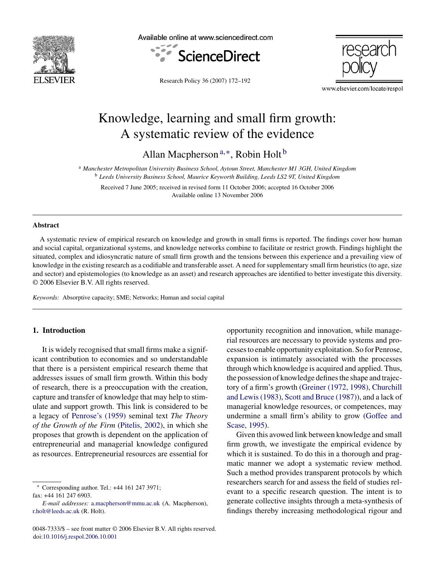

Available online at www.sciencedirect.com





Research Policy 36 (2007) 172–192

www.elsevier.com/locate/respol

## Knowledge, learning and small firm growth: A systematic review of the evidence

Allan Macpherson<sup>a,\*</sup>, Robin Holt<sup>b</sup>

<sup>a</sup> *Manchester Metropolitan University Business School, Aytoun Street, Manchester M1 3GH, United Kingdom* <sup>b</sup> *Leeds University Business School, Maurice Keyworth Building, Leeds LS2 9T, United Kingdom*

Received 7 June 2005; received in revised form 11 October 2006; accepted 16 October 2006 Available online 13 November 2006

#### **Abstract**

A systematic review of empirical research on knowledge and growth in small firms is reported. The findings cover how human and social capital, organizational systems, and knowledge networks combine to facilitate or restrict growth. Findings highlight the situated, complex and idiosyncratic nature of small firm growth and the tensions between this experience and a prevailing view of knowledge in the existing research as a codifiable and transferable asset. A need for supplementary small firm heuristics (to age, size and sector) and epistemologies (to knowledge as an asset) and research approaches are identified to better investigate this diversity. © 2006 Elsevier B.V. All rights reserved.

*Keywords:* Absorptive capacity; SME; Networks; Human and social capital

### **1. Introduction**

It is widely recognised that small firms make a significant contribution to economies and so understandable that there is a persistent empirical research theme that addresses issues of small firm growth. Within this body of research, there is a preoccupation with the creation, capture and transfer of knowledge that may help to stimulate and support growth. This link is considered to be a legacy of [Penrose's \(1959\)](#page--1-0) seminal text *The Theory of the Growth of the Firm* ([Pitelis, 2002\),](#page--1-0) in which she proposes that growth is dependent on the application of entrepreneurial and managerial knowledge configured as resources. Entrepreneurial resources are essential for

∗ Corresponding author. Tel.: +44 161 247 3971; fax: +44 161 247 6903.

opportunity recognition and innovation, while managerial resources are necessary to provide systems and processes to enable opportunity exploitation. So for Penrose, expansion is intimately associated with the processes through which knowledge is acquired and applied. Thus, the possession of knowledge defines the shape and trajectory of a firm's growth [\(Greiner \(1972, 1998\),](#page--1-0) [Churchill](#page--1-0) [and Lewis \(1983\),](#page--1-0) [Scott and Bruce \(1987\)\),](#page--1-0) and a lack of managerial knowledge resources, or competences, may undermine a small firm's ability to grow ([Goffee and](#page--1-0) [Scase, 1995\).](#page--1-0)

Given this avowed link between knowledge and small firm growth, we investigate the empirical evidence by which it is sustained. To do this in a thorough and pragmatic manner we adopt a systematic review method. Such a method provides transparent protocols by which researchers search for and assess the field of studies relevant to a specific research question. The intent is to generate collective insights through a meta-synthesis of findings thereby increasing methodological rigour and

*E-mail addresses:* [a.macpherson@mmu.ac.uk](mailto:a.macpherson@mmu.ac.uk) (A. Macpherson), [r.holt@leeds.ac.uk](mailto:r.holt@leeds.ac.uk) (R. Holt).

<sup>0048-7333/\$ –</sup> see front matter © 2006 Elsevier B.V. All rights reserved. doi[:10.1016/j.respol.2006.10.001](dx.doi.org/10.1016/j.respol.2006.10.001)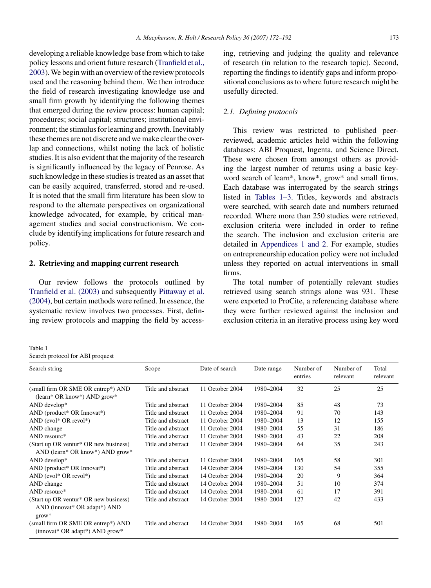developing a reliable knowledge base from which to take policy lessons and orient future research [\(Tranfield et al.,](#page--1-0) [2003\).](#page--1-0) We begin with an overview of the review protocols used and the reasoning behind them. We then introduce the field of research investigating knowledge use and small firm growth by identifying the following themes that emerged during the review process: human capital; procedures; social capital; structures; institutional environment; the stimulus for learning and growth. Inevitably these themes are not discrete and we make clear the overlap and connections, whilst noting the lack of holistic studies. It is also evident that the majority of the research is significantly influenced by the legacy of Penrose. As such knowledge in these studies is treated as an asset that can be easily acquired, transferred, stored and re-used. It is noted that the small firm literature has been slow to respond to the alternate perspectives on organizational knowledge advocated, for example, by critical management studies and social constructionism. We conclude by identifying implications for future research and policy.

### **2. Retrieving and mapping current research**

Table 1

Search protocol for ABI proquest

Our review follows the protocols outlined by [Tranfield et al. \(2003\)](#page--1-0) and subsequently [Pittaway et al.](#page--1-0) [\(2004\), b](#page--1-0)ut certain methods were refined. In essence, the systematic review involves two processes. First, defining review protocols and mapping the field by accessing, retrieving and judging the quality and relevance of research (in relation to the research topic). Second, reporting the findings to identify gaps and inform propositional conclusions as to where future research might be usefully directed.

#### *2.1. Defining protocols*

This review was restricted to published peerreviewed, academic articles held within the following databases: ABI Proquest, Ingenta, and Science Direct. These were chosen from amongst others as providing the largest number of returns using a basic keyword search of learn\*, know\*, grow\* and small firms. Each database was interrogated by the search strings listed in Tables 1–3. Titles, keywords and abstracts were searched, with search date and numbers returned recorded. Where more than 250 studies were retrieved, exclusion criteria were included in order to refine the search. The inclusion and exclusion criteria are detailed in [Appendices 1 and 2.](#page--1-0) For example, studies on entrepreneurship education policy were not included unless they reported on actual interventions in small firms.

The total number of potentially relevant studies retrieved using search strings alone was 931. These were exported to ProCite, a referencing database where they were further reviewed against the inclusion and exclusion criteria in an iterative process using key word

| Search string                                                                    | Scope              | Date of search  | Date range | Number of<br>entries | Number of<br>relevant | Total<br>relevant |
|----------------------------------------------------------------------------------|--------------------|-----------------|------------|----------------------|-----------------------|-------------------|
| (small firm OR SME OR entrep*) AND<br>(learn* OR know*) AND grow*                | Title and abstract | 11 October 2004 | 1980-2004  | 32                   | 25                    | 25                |
| AND develop*                                                                     | Title and abstract | 11 October 2004 | 1980-2004  | 85                   | 48                    | 73                |
| AND (product* OR Innovat*)                                                       | Title and abstract | 11 October 2004 | 1980-2004  | 91                   | 70                    | 143               |
| AND (evol* OR revol*)                                                            | Title and abstract | 11 October 2004 | 1980-2004  | 13                   | 12                    | 155               |
| AND change                                                                       | Title and abstract | 11 October 2004 | 1980-2004  | 55                   | 31                    | 186               |
| AND resourc*                                                                     | Title and abstract | 11 October 2004 | 1980-2004  | 43                   | 22                    | 208               |
| (Start up OR ventur* OR new business)<br>AND (learn* OR know*) AND grow*         | Title and abstract | 11 October 2004 | 1980-2004  | 64                   | 35                    | 243               |
| AND develop*                                                                     | Title and abstract | 11 October 2004 | 1980-2004  | 165                  | 58                    | 301               |
| AND (product* OR Innovat*)                                                       | Title and abstract | 14 October 2004 | 1980-2004  | 130                  | 54                    | 355               |
| AND (evol* OR revol*)                                                            | Title and abstract | 14 October 2004 | 1980-2004  | 20                   | 9                     | 364               |
| AND change                                                                       | Title and abstract | 14 October 2004 | 1980-2004  | 51                   | 10                    | 374               |
| AND resourc*                                                                     | Title and abstract | 14 October 2004 | 1980-2004  | 61                   | 17                    | 391               |
| (Start up OR ventur* OR new business)<br>AND (innovat* OR adapt*) AND<br>$grow*$ | Title and abstract | 14 October 2004 | 1980-2004  | 127                  | 42                    | 433               |
| (small firm OR SME OR entrep*) AND<br>(innovat* OR adapt*) AND grow*             | Title and abstract | 14 October 2004 | 1980-2004  | 165                  | 68                    | 501               |